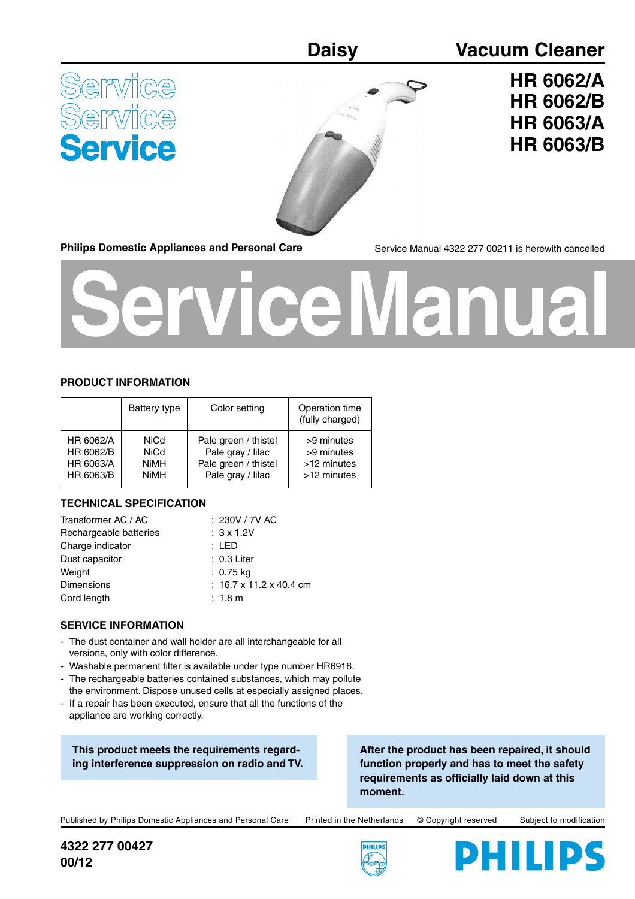### **Daisy Vacuum Cleaner**

<u>Jervice</u> ervice



## **HR 6062/A HR 6062/B HR 6063/A HR 6063/B**

**Philips Domestic Appliances and Personal Care**

Service Manual 4322 277 00211 is herewith cancelled

# **Service Manual**

#### **PRODUCT INFORMATION**

|           | Battery type | Color setting        | Operation time<br>(fully charged) |
|-----------|--------------|----------------------|-----------------------------------|
| HR 6062/A | <b>NiCd</b>  | Pale green / thistel | >9 minutes                        |
| HR 6062/B | <b>NiCd</b>  | Pale gray / lilac    | >9 minutes                        |
| HR 6063/A | <b>NiMH</b>  | Pale green / thistel | >12 minutes                       |
| HR 6063/B | <b>NiMH</b>  | Pale gray / lilac    | >12 minutes                       |

#### **TECHNICAL SPECIFICATION**

| Transformer AC / AC    | : 230V / 7V AC          |
|------------------------|-------------------------|
| Rechargeable batteries | $: 3 \times 1.2V$       |
| Charge indicator       | : LED                   |
| Dust capacitor         | $: 0.3$ Liter           |
| Weight                 | : 0.75 kg               |
| <b>Dimensions</b>      | : 16.7 x 11.2 x 40.4 cm |
| Cord length            | $: 1.8 \text{ m}$       |
|                        |                         |

#### **SERVICE INFORMATION**

- The dust container and wall holder are all interchangeable for all versions, only with color difference.
- Washable permanent filter is available under type number HR6918.
- The rechargeable batteries contained substances, which may pollute the environment. Dispose unused cells at especially assigned places.
- If a repair has been executed, ensure that all the functions of the appliance are working correctly.

**This product meets the requirements regarding interference suppression on radio and TV.**

**After the product has been repaired, it should function properly and has to meet the safety**  requirements as officially laid down at this **moment.**

Published by Philips Domestic Appliances and Personal Care Printed in the Netherlands © Copyright reserved Subject to modification

**4322 277 00427 00/12**